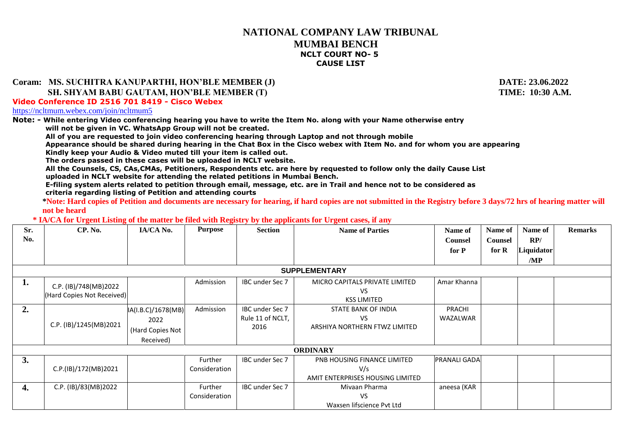## **NATIONAL COMPANY LAW TRIBUNAL MUMBAI BENCH NCLT COURT NO- 5 CAUSE LIST**

## **Coram: MS. SUCHITRA KANUPARTHI, HON'BLE MEMBER (J) DATE: 23.06.2022**

## **SH. SHYAM BABU GAUTAM, HON'BLE MEMBER (T) TIME: 10:30 A.M.**

**Video Conference ID 2516 701 8419 - Cisco Webex**

<https://ncltmum.webex.com/join/ncltmum5>

**Note: - While entering Video conferencing hearing you have to write the Item No. along with your Name otherwise entry**

**will not be given in VC. WhatsApp Group will not be created.** 

**All of you are requested to join video conferencing hearing through Laptop and not through mobile**

**Appearance should be shared during hearing in the Chat Box in the Cisco webex with Item No. and for whom you are appearing Kindly keep your Audio & Video muted till your item is called out.**

**The orders passed in these cases will be uploaded in NCLT website.**

**All the Counsels, CS, CAs,CMAs, Petitioners, Respondents etc. are here by requested to follow only the daily Cause List uploaded in NCLT website for attending the related petitions in Mumbai Bench.**

**E-filing system alerts related to petition through email, message, etc. are in Trail and hence not to be considered as criteria regarding listing of Petition and attending courts** 

**\*Note: Hard copies of Petition and documents are necessary for hearing, if hard copies are not submitted in the Registry before 3 days/72 hrs of hearing matter will not be heard**

## **\* IA/CA for Urgent Listing of the matter be filed with Registry by the applicants for Urgent cases, if any**

| Sr.<br>No. | CP. No.                                             | IA/CA No.                                                   | <b>Purpose</b>           | <b>Section</b>                              | <b>Name of Parties</b>                                                 | Name of<br><b>Counsel</b><br>for P | Name of<br><b>Counsel</b><br>for $R$ | Name of<br>RP/<br>Liquidator | <b>Remarks</b> |  |
|------------|-----------------------------------------------------|-------------------------------------------------------------|--------------------------|---------------------------------------------|------------------------------------------------------------------------|------------------------------------|--------------------------------------|------------------------------|----------------|--|
|            |                                                     |                                                             |                          |                                             |                                                                        |                                    |                                      | /MP                          |                |  |
|            | <b>SUPPLEMENTARY</b>                                |                                                             |                          |                                             |                                                                        |                                    |                                      |                              |                |  |
| 1.         | C.P. (IB)/748(MB)2022<br>(Hard Copies Not Received) |                                                             | Admission                | IBC under Sec 7                             | MICRO CAPITALS PRIVATE LIMITED<br>VS.<br><b>KSS LIMITED</b>            | Amar Khanna                        |                                      |                              |                |  |
| 2.         | C.P. (IB)/1245(MB)2021                              | IA(I.B.C)/1678(MB)<br>2022<br>(Hard Copies Not<br>Received) | Admission                | IBC under Sec 7<br>Rule 11 of NCLT,<br>2016 | STATE BANK OF INDIA<br>VS.<br>ARSHIYA NORTHERN FTWZ LIMITED            | PRACHI<br>WAZALWAR                 |                                      |                              |                |  |
|            |                                                     |                                                             |                          |                                             | <b>ORDINARY</b>                                                        |                                    |                                      |                              |                |  |
| 3.         | C.P.(IB)/172(MB)2021                                |                                                             | Further<br>Consideration | IBC under Sec 7                             | PNB HOUSING FINANCE LIMITED<br>V/s<br>AMIT ENTERPRISES HOUSING LIMITED | <b>PRANALI GADA</b>                |                                      |                              |                |  |
| 4.         | C.P. (IB)/83(MB)2022                                |                                                             | Further<br>Consideration | IBC under Sec 7                             | Mivaan Pharma<br>VS.<br>Waxsen lifscience Pvt Ltd                      | aneesa (KAR                        |                                      |                              |                |  |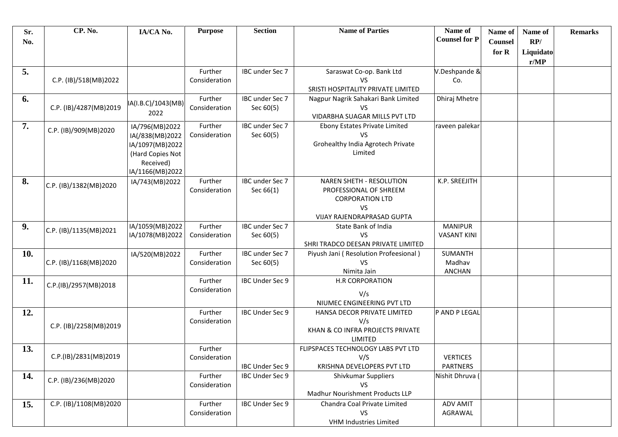| Sr.<br>No. | CP. No.                | IA/CA No.                          | <b>Purpose</b> | <b>Section</b>  | <b>Name of Parties</b>                                                      | Name of<br><b>Counsel for P</b> | Name of<br><b>Counsel</b> | Name of<br>RP/    | <b>Remarks</b> |
|------------|------------------------|------------------------------------|----------------|-----------------|-----------------------------------------------------------------------------|---------------------------------|---------------------------|-------------------|----------------|
|            |                        |                                    |                |                 |                                                                             |                                 | for R                     | Liquidato<br>r/MP |                |
| 5.         |                        |                                    | Further        | IBC under Sec 7 | Saraswat Co-op. Bank Ltd                                                    | V.Deshpande &                   |                           |                   |                |
|            | C.P. (IB)/518(MB)2022  |                                    | Consideration  |                 | <b>VS</b>                                                                   | Co.                             |                           |                   |                |
| 6.         |                        |                                    | Further        | IBC under Sec 7 | SRISTI HOSPITALITY PRIVATE LIMITED<br>Nagpur Nagrik Sahakari Bank Limited   | Dhiraj Mhetre                   |                           |                   |                |
|            | C.P. (IB)/4287(MB)2019 | IA(I.B.C)/1043(MB)                 | Consideration  | Sec 60(5)       | <b>VS</b>                                                                   |                                 |                           |                   |                |
|            |                        | 2022                               |                |                 | VIDARBHA SUAGAR MILLS PVT LTD                                               |                                 |                           |                   |                |
| 7.         | C.P. (IB)/909(MB)2020  | IA/796(MB)2022                     | Further        | IBC under Sec 7 | Ebony Estates Private Limited<br><b>VS</b>                                  | raveen palekar                  |                           |                   |                |
|            |                        | IA(/838(MB)2022<br>IA/1097(MB)2022 | Consideration  | Sec 60(5)       | Grohealthy India Agrotech Private                                           |                                 |                           |                   |                |
|            |                        | (Hard Copies Not                   |                |                 | Limited                                                                     |                                 |                           |                   |                |
|            |                        | Received)                          |                |                 |                                                                             |                                 |                           |                   |                |
|            |                        | IA/1166(MB)2022                    |                |                 |                                                                             |                                 |                           |                   |                |
| 8.         | C.P. (IB)/1382(MB)2020 | IA/743(MB)2022                     | Further        | IBC under Sec 7 | <b>NAREN SHETH - RESOLUTION</b>                                             | K.P. SREEJITH                   |                           |                   |                |
|            |                        |                                    | Consideration  | Sec 66(1)       | PROFESSIONAL OF SHREEM<br><b>CORPORATION LTD</b>                            |                                 |                           |                   |                |
|            |                        |                                    |                |                 | <b>VS</b>                                                                   |                                 |                           |                   |                |
|            |                        |                                    |                |                 | VIJAY RAJENDRAPRASAD GUPTA                                                  |                                 |                           |                   |                |
| 9.         | C.P. (IB)/1135(MB)2021 | IA/1059(MB)2022                    | Further        | IBC under Sec 7 | State Bank of India                                                         | <b>MANIPUR</b>                  |                           |                   |                |
|            |                        | IA/1078(MB)2022                    | Consideration  | Sec 60(5)       | <b>VS</b>                                                                   | <b>VASANT KINI</b>              |                           |                   |                |
| 10.        |                        |                                    | Further        | IBC under Sec 7 | SHRI TRADCO DEESAN PRIVATE LIMITED<br>Piyush Jani (Resolution Profeesional) | SUMANTH                         |                           |                   |                |
|            | C.P. (IB)/1168(MB)2020 | IA/520(MB)2022                     | Consideration  | Sec 60(5)       | VS                                                                          | Madhav                          |                           |                   |                |
|            |                        |                                    |                |                 | Nimita Jain                                                                 | <b>ANCHAN</b>                   |                           |                   |                |
| 11.        | C.P.(IB)/2957(MB)2018  |                                    | Further        | IBC Under Sec 9 | <b>H.R CORPORATION</b>                                                      |                                 |                           |                   |                |
|            |                        |                                    | Consideration  |                 | V/s                                                                         |                                 |                           |                   |                |
|            |                        |                                    |                |                 | NIUMEC ENGINEERING PVT LTD                                                  |                                 |                           |                   |                |
| 12.        |                        |                                    | Further        | IBC Under Sec 9 | HANSA DECOR PRIVATE LIMITED                                                 | P AND P LEGAL                   |                           |                   |                |
|            | C.P. (IB)/2258(MB)2019 |                                    | Consideration  |                 | V/s<br>KHAN & CO INFRA PROJECTS PRIVATE                                     |                                 |                           |                   |                |
|            |                        |                                    |                |                 | LIMITED                                                                     |                                 |                           |                   |                |
| 13.        |                        |                                    | Further        |                 | FLIPSPACES TECHNOLOGY LABS PVT LTD                                          |                                 |                           |                   |                |
|            | C.P.(IB)/2831(MB)2019  |                                    | Consideration  |                 | V/S                                                                         | <b>VERTICES</b>                 |                           |                   |                |
|            |                        |                                    |                | IBC Under Sec 9 | KRISHNA DEVELOPERS PVT LTD                                                  | <b>PARTNERS</b>                 |                           |                   |                |
| 14.        | C.P. (IB)/236(MB)2020  |                                    | Further        | IBC Under Sec 9 | Shivkumar Suppliers                                                         | Nishit Dhruva (                 |                           |                   |                |
|            |                        |                                    | Consideration  |                 | <b>VS</b><br>Madhur Nourishment Products LLP                                |                                 |                           |                   |                |
| 15.        | C.P. (IB)/1108(MB)2020 |                                    | Further        | IBC Under Sec 9 | Chandra Coal Private Limited                                                | ADV AMIT                        |                           |                   |                |
|            |                        |                                    | Consideration  |                 | <b>VS</b>                                                                   | AGRAWAL                         |                           |                   |                |
|            |                        |                                    |                |                 | VHM Industries Limited                                                      |                                 |                           |                   |                |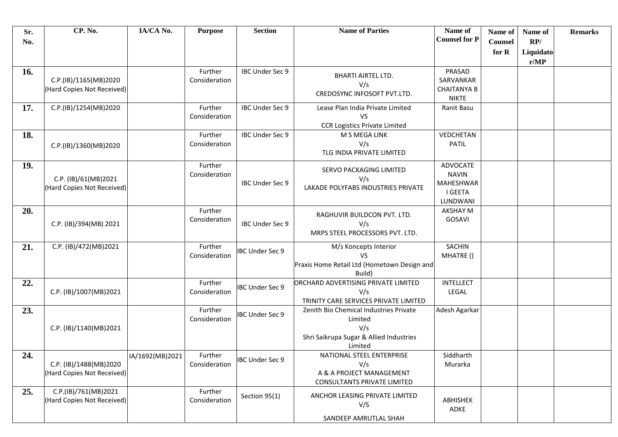| Sr.<br>No. | CP. No.                                              | IA/CA No.       | <b>Purpose</b>           | <b>Section</b>         | <b>Name of Parties</b>                                                                                         | Name of<br><b>Counsel for P</b>                              | Name of<br><b>Counsel</b><br>for R | Name of<br>RP/<br>Liquidato<br>r/MP | <b>Remarks</b> |
|------------|------------------------------------------------------|-----------------|--------------------------|------------------------|----------------------------------------------------------------------------------------------------------------|--------------------------------------------------------------|------------------------------------|-------------------------------------|----------------|
| 16.        | C.P.(IB)/1165(MB)2020<br>(Hard Copies Not Received)  |                 | Further<br>Consideration | IBC Under Sec 9        | <b>BHARTI AIRTEL LTD.</b><br>V/s<br>CREDOSYNC INFOSOFT PVT.LTD.                                                | PRASAD<br>SARVANKAR<br><b>CHAITANYA B</b><br><b>NIKTE</b>    |                                    |                                     |                |
| 17.        | C.P.(IB)/1254(MB)2020                                |                 | Further<br>Consideration | IBC Under Sec 9        | Lease Plan India Private Limited<br><b>VS</b><br><b>CCR Logistics Private Limited</b>                          | Ranit Basu                                                   |                                    |                                     |                |
| 18.        | C.P.(IB)/1360(MB)2020                                |                 | Further<br>Consideration | IBC Under Sec 9        | M S MEGA LINK<br>V/s<br>TLG INDIA PRIVATE LIMITED                                                              | VEDCHETAN<br><b>PATIL</b>                                    |                                    |                                     |                |
| 19.        | C.P. (IB)/61(MB)2021<br>(Hard Copies Not Received)   |                 | Further<br>Consideration | IBC Under Sec 9        | SERVO PACKAGING LIMITED<br>V/s<br>LAKADE POLYFABS INDUSTRIES PRIVATE                                           | ADVOCATE<br><b>NAVIN</b><br>MAHESHWAR<br>I GEETA<br>LUNDWANI |                                    |                                     |                |
| 20.        | C.P. (IB)/394(MB) 2021                               |                 | Further<br>Consideration | IBC Under Sec 9        | RAGHUVIR BUILDCON PVT. LTD.<br>V/s<br>MRPS STEEL PROCESSORS PVT. LTD.                                          | <b>AKSHAY M</b><br>GOSAVI                                    |                                    |                                     |                |
| 21.        | C.P. (IB)/472(MB)2021                                |                 | Further<br>Consideration | <b>IBC Under Sec 9</b> | M/s Koncepts Interior<br><b>VS</b><br>Praxis Home Retail Ltd (Hometown Design and<br>Build)                    | SACHIN<br>MHATRE ()                                          |                                    |                                     |                |
| 22.        | C.P. (IB)/1007(MB)2021                               |                 | Further<br>Consideration | <b>IBC Under Sec 9</b> | ORCHARD ADVERTISING PRIVATE LIMITED<br>V/s<br>TRINITY CARE SERVICES PRIVATE LIMITED                            | <b>INTELLECT</b><br>LEGAL                                    |                                    |                                     |                |
| 23.        | C.P. (IB)/1140(MB)2021                               |                 | Further<br>Consideration | <b>IBC Under Sec 9</b> | Zenith Bio Chemical Industries Private<br>Limited<br>V/s<br>Shri Saikrupa Sugar & Allied Industries<br>Limited | Adesh Agarkar                                                |                                    |                                     |                |
| 24.        | C.P. (IB)/1488(MB)2020<br>(Hard Copies Not Received) | IA/1692(MB)2021 | Further<br>Consideration | <b>IBC Under Sec 9</b> | NATIONAL STEEL ENTERPRISE<br>V/s<br>A & A PROJECT MANAGEMENT<br><b>CONSULTANTS PRIVATE LIMITED</b>             | Siddharth<br>Murarka                                         |                                    |                                     |                |
| 25.        | C.P.(IB)/761(MB)2021<br>(Hard Copies Not Received)   |                 | Further<br>Consideration | Section 95(1)          | ANCHOR LEASING PRIVATE LIMITED<br>V/S<br>SANDEEP AMRUTLAL SHAH                                                 | ABHISHEK<br>ADKE                                             |                                    |                                     |                |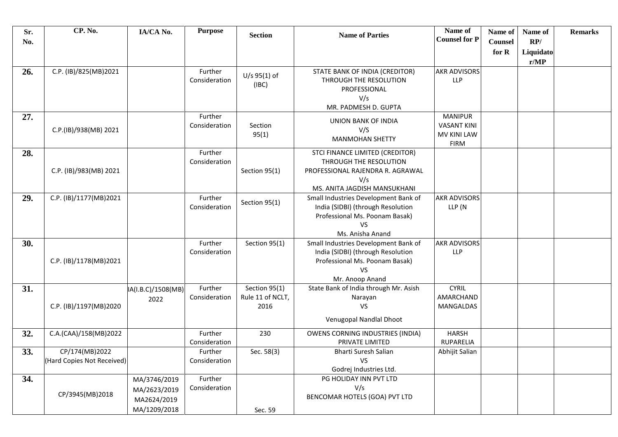| Sr.<br>No. | CP. No.                                      | IA/CA No.          | <b>Purpose</b>           | <b>Section</b>   | <b>Name of Parties</b>                                    | Name of<br><b>Counsel for P</b> | Name of<br>Counsel | Name of<br>RP/    | <b>Remarks</b> |
|------------|----------------------------------------------|--------------------|--------------------------|------------------|-----------------------------------------------------------|---------------------------------|--------------------|-------------------|----------------|
|            |                                              |                    |                          |                  |                                                           |                                 |                    |                   |                |
|            |                                              |                    |                          |                  |                                                           |                                 | for R              | Liquidato<br>r/MP |                |
| 26.        | C.P. (IB)/825(MB)2021                        |                    | Further                  |                  | STATE BANK OF INDIA (CREDITOR)                            | <b>AKR ADVISORS</b>             |                    |                   |                |
|            |                                              |                    | Consideration            | $U/s$ 95(1) of   | THROUGH THE RESOLUTION                                    | <b>LLP</b>                      |                    |                   |                |
|            |                                              |                    |                          | (IBC)            | PROFESSIONAL                                              |                                 |                    |                   |                |
|            |                                              |                    |                          |                  | V/s                                                       |                                 |                    |                   |                |
|            |                                              |                    |                          |                  | MR. PADMESH D. GUPTA                                      |                                 |                    |                   |                |
| 27.        |                                              |                    | Further                  |                  | UNION BANK OF INDIA                                       | <b>MANIPUR</b>                  |                    |                   |                |
|            | C.P.(IB)/938(MB) 2021                        |                    | Consideration            | Section          | V/S                                                       | <b>VASANT KINI</b>              |                    |                   |                |
|            |                                              |                    |                          | 95(1)            | <b>MANMOHAN SHETTY</b>                                    | MV KINI LAW                     |                    |                   |                |
|            |                                              |                    |                          |                  |                                                           | <b>FIRM</b>                     |                    |                   |                |
| 28.        |                                              |                    | Further<br>Consideration |                  | STCI FINANCE LIMITED (CREDITOR)<br>THROUGH THE RESOLUTION |                                 |                    |                   |                |
|            | C.P. (IB)/983(MB) 2021                       |                    |                          | Section 95(1)    | PROFESSIONAL RAJENDRA R. AGRAWAL                          |                                 |                    |                   |                |
|            |                                              |                    |                          |                  | V/s                                                       |                                 |                    |                   |                |
|            |                                              |                    |                          |                  | MS. ANITA JAGDISH MANSUKHANI                              |                                 |                    |                   |                |
| 29.        | C.P. (IB)/1177(MB)2021                       |                    | Further                  |                  | Small Industries Development Bank of                      | <b>AKR ADVISORS</b>             |                    |                   |                |
|            |                                              |                    | Consideration            | Section 95(1)    | India (SIDBI) (through Resolution                         | LLP (N                          |                    |                   |                |
|            |                                              |                    |                          |                  | Professional Ms. Poonam Basak)                            |                                 |                    |                   |                |
|            |                                              |                    |                          |                  | VS                                                        |                                 |                    |                   |                |
|            |                                              |                    |                          |                  | Ms. Anisha Anand                                          |                                 |                    |                   |                |
| 30.        |                                              |                    | Further                  | Section 95(1)    | Small Industries Development Bank of                      | <b>AKR ADVISORS</b>             |                    |                   |                |
|            |                                              |                    | Consideration            |                  | India (SIDBI) (through Resolution                         | <b>LLP</b>                      |                    |                   |                |
|            | C.P. (IB)/1178(MB)2021                       |                    |                          |                  | Professional Ms. Poonam Basak)<br>VS                      |                                 |                    |                   |                |
|            |                                              |                    |                          |                  | Mr. Anoop Anand                                           |                                 |                    |                   |                |
| 31.        |                                              | IA(I.B.C)/1508(MB) | Further                  | Section 95(1)    | State Bank of India through Mr. Asish                     | <b>CYRIL</b>                    |                    |                   |                |
|            |                                              | 2022               | Consideration            | Rule 11 of NCLT, | Narayan                                                   | AMARCHAND                       |                    |                   |                |
|            | C.P. (IB)/1197(MB)2020                       |                    |                          | 2016             | <b>VS</b>                                                 | MANGALDAS                       |                    |                   |                |
|            |                                              |                    |                          |                  | Venugopal Nandlal Dhoot                                   |                                 |                    |                   |                |
|            |                                              |                    |                          |                  |                                                           |                                 |                    |                   |                |
| 32.        | C.A.(CAA)/158(MB)2022                        |                    | Further                  | 230              | OWENS CORNING INDUSTRIES (INDIA)                          | <b>HARSH</b>                    |                    |                   |                |
|            |                                              |                    | Consideration            |                  | PRIVATE LIMITED                                           | RUPARELIA                       |                    |                   |                |
| 33.        | CP/174(MB)2022<br>(Hard Copies Not Received) |                    | Further                  | Sec. 58(3)       | Bharti Suresh Salian<br><b>VS</b>                         | Abhijit Salian                  |                    |                   |                |
|            |                                              |                    | Consideration            |                  | Godrej Industries Ltd.                                    |                                 |                    |                   |                |
| 34.        |                                              | MA/3746/2019       | Further                  |                  | PG HOLIDAY INN PVT LTD                                    |                                 |                    |                   |                |
|            |                                              | MA/2623/2019       | Consideration            |                  | V/s                                                       |                                 |                    |                   |                |
|            | CP/3945(MB)2018                              |                    |                          |                  | BENCOMAR HOTELS (GOA) PVT LTD                             |                                 |                    |                   |                |
|            |                                              | MA2624/2019        |                          |                  |                                                           |                                 |                    |                   |                |
|            |                                              | MA/1209/2018       |                          | Sec. 59          |                                                           |                                 |                    |                   |                |